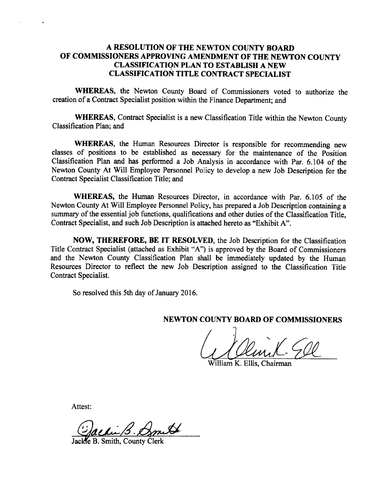# A RESOLUTION OF THE NEWTON COUNTY BOARD OF COMMISSIONERS APPROVING AMENDMENT OF THE NEWTON COUNTY CLASSIFICATION PLAN TO ESTABLISH A NEW CLASSIFICATION TITLE CONTRACT SPECIALIST

WHEREAS, the Newton County Board of Commissioners voted to authorize the creation of <sup>a</sup> Contract Specialist position within the Finance Department; and

WHEREAS, Contract Specialist is a new Classification Title within the Newton County Classification Plan; and

WHEREAS, the Human Resources Director is responsible for recommending new classes of positions to be established as necessary for the maintenance of the Position Classification Plan and has performed a Job Analysis in accordance with Par. 6. 104 of the Newton County At Will Employee Personnel Policy to develop <sup>a</sup> new Job Description for the Contract Specialist Classification Title; and

WHEREAS, the Human Resources Director, in accordance with Par. 6.105 of the Newton County At Will Employee Personnel Policy, has prepared a Job Description containing a summary of the essential job functions, qualifications and other duties of the Classification Title. Contract Specialist, and such Job Description is attached hereto as "Exhibit A".

NOW, THEREFORE, BE IT RESOLVED, the Job Description for the Classification Title Contract Specialist (attached as Exhibit "A") is approved by the Board of Commissioners and the Newton County Classification Plan shall be immediately updated by the Human Resources Director to reflect the new Job Description assigned to the Classification Title Contract Specialist.

So resolved this 5th day of January 2016.

NEWTON COUNTY BOARD OF COMMISSIONERS

I I A

William K. Ellis, Chairman

Attest:

Jackfe B. Smith, County Clerk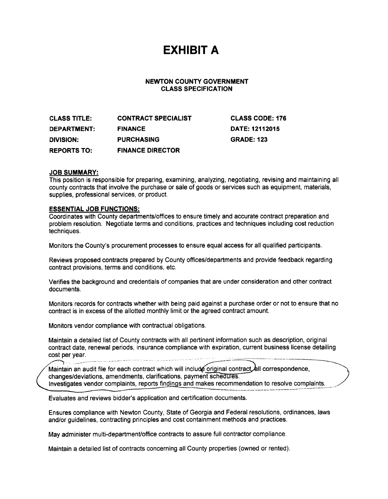# EXHIBIT A

# NEWTON COUNTY GOVERNMENT CLASS SPECIFICATION

CLASS TITLE: CONTRACT SPECIALIST CLASS CODE: 176 DEPARTMENT: FINANCE DATE: 12112015 DIVISION: PURCHASING GRADE: 123 REPORTS TO: FINANCE DIRECTOR

### JOB SUMMARY:

This position is responsible for preparing, examining, analyzing, negotiating, revising and maintaining all county contracts that involve the purchase or sale of goods or services such as equipment, materials, supplies, professional services, or product.

# ESSENTIAL JOB FUNCTIONS:

Coordinates with County departments/offices to ensure timely and accurate contract preparation and problem resolution. Negotiate terms and conditions, practices and techniques including cost reduction techniques.

Monitors the County's procurement processes to ensure equal access for all qualified participants.

Reviews proposed contracts prepared by County offices/departments and provide feedback regarding contract provisions, terms and conditions, etc.

Verifies the background and credentials of companies that are under consideration and other contract documents.

Monitors records for contracts whether with being paid against a purchase order or not to ensure that no contract is in excess of the allotted monthly limit or the agreed contract amount.

Monitors vendor compliance with contractual obligations.

Maintain a detailed list of County contracts with all pertinent information such as description, original contract date, renewal periods, insurance compliance with expiration, current business license detailing cost per year.

Maintain an audit file for each contract which will include original contract all correspondence, changes/deviations, amendments, clarifications, payment schedules. Investigates vendor complaints, reports findings and makes recommendation to resolve complaints.

Evaluates and reviews bidder's application and certification documents.

Ensures compliance with Newton County, State of Georgia and Federal resolutions, ordinances, laws and/or guidelines, contracting principles and cost containment methods and practices.

May administer multi-department/office contracts to assure full contractor compliance.

Maintain <sup>a</sup> detailed list of contracts concerning all County properties (owned or rented).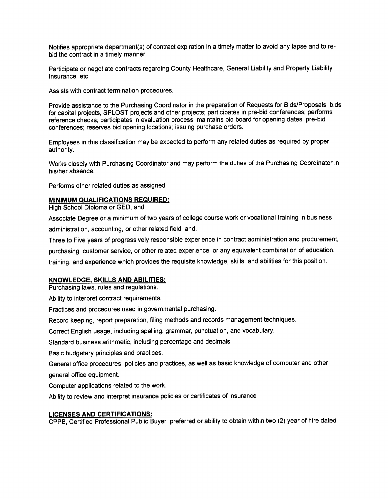Notifies appropriate department(s) of contract expiration in a timely matter to avoid any lapse and to rebid the contract in a timely manner.

Participate or negotiate contracts regarding County Healthcare, General Liability and Property Liability Insurance, etc.

Assists with contract termination procedures.

Provide assistance to the Purchasing Coordinator in the preparation of Requests for Bids/Proposals, bids for capital projects, SPLOST projects and other projects; participates in pre-bid conferences; performs reference checks; participates in evaluation process; maintains bid board for opening dates, pre-bid conferences; reserves bid opening locations; issuing purchase orders.

Employees in this classification may be expected to perform any related duties as required by proper authority.

Works closely with Purchasing Coordinator and may perform the duties of the Purchasing Coordinator in his/her absence.

Performs other related duties as assigned.

#### MINIMUM QUALIFICATIONS REQUIRED:

High School Diploma or GED; and

Associate Degree or a minimum of two years of college course work or vocational training in business administration, accounting, or other related field; and,

Three to Five years of progressively responsible experience in contract administration and procurement,

purchasing, customer service, or other related experience; or any equivalent combination of education,

training, and experience which provides the requisite knowledge, skills, and abilities for this position.

### KNOWLEDGE. SKILLS AND ABILITIES:

Purchasing laws, rules and regulations.

Ability to interpret contract requirements.

Practices and procedures used in governmental purchasing.

Record keeping, report preparation, filing methods and records management techniques.

Correct English usage, including spelling, grammar, punctuation, and vocabulary.

Standard business arithmetic, including percentage and decimals.

Basic budgetary principles and practices.

General office procedures, policies and practices, as well as basic knowledge of computer and other general office equipment.

Computer applications related to the work.

Ability to review and interpret insurance policies or certificates of insurance

### LICENSES AND CERTIFICATIONS:

CPPB, Certified Professional Public Buyer, preferred or ability to obtain within two ( 2) year of hire dated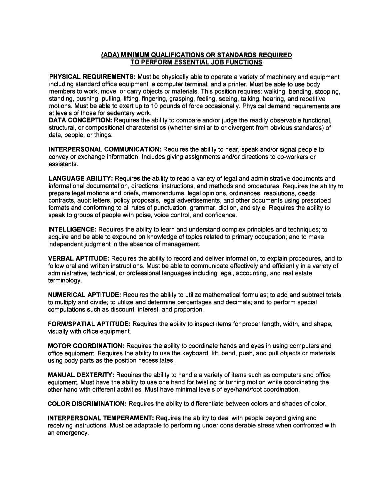# ADA) MINIMUM QUALIFICATIONS OR STANDARDS REQUIRED TO PERFORM ESSENTIAL JOB FUNCTIONS

PHYSICAL REQUIREMENTS: Must be physically able to operate a variety of machinery and equipment including standard office equipment, a computer terminal, and a printer. Must be able to use body members to work, move, or carry objects or materials. This position requires: walking, bending, stooping, standing, pushing, pulling, lifting, fingering, grasping, feeling, seeing, talking, hearing, and repetitive motions. Must be able to exert up to 10 pounds of force occasionally. Physical demand requirements are at levels of those for sedentary work.

DATA CONCEPTION: Requires the ability to compare and/or judge the readily observable functional, structural, or compositional characteristics (whether similar to or divergent from obvious standards) of data, people, or things.

INTERPERSONAL COMMUNICATION: Requires the ability to hear, speak and/or signal people to convey or exchange information. Includes giving assignments and/or directions to co-workers or assistants.

LANGUAGE ABILITY: Requires the ability to read a variety of legal and administrative documents and informational documentation, directions, instructions, and methods and procedures. Requires the ability to prepare legal motions and briefs, memorandums, legal opinions, ordinances, resolutions, deeds, contracts, audit letters, policy proposals, legal advertisements, and other documents using prescribed formats and conforming to all rules of punctuation, grammar, diction, and style. Requires the ability to speak to groups of people with poise, voice control, and confidence.

INTELLIGENCE: Requires the ability to learn and understand complex principles and techniques; to acquire and be able to expound on knowledge of topics related to primary occupation; and to make independent judgment in the absence of management.

VERBAL APTITUDE: Requires the ability to record and deliver information, to explain procedures, and to follow oral and written instructions. Must be able to communicate effectively and efficiently in a variety of administrative, technical, or professional languages including legal, accounting, and real estate terminology.

NUMERICAL APTITUDE: Requires the ability to utilize mathematical formulas; to add and subtract totals; to multiply and divide; to utilize and determine percentages and decimals; and to perform special computations such as discount, interest, and proportion.

FORM/SPATIAL APTITUDE: Requires the ability to inspect items for proper length, width, and shape, visually with office equipment.

MOTOR COORDINATION: Requires the ability to coordinate hands and eyes in using computers and office equipment. Requires the ability to use the keyboard, lift, bend, push, and pull objects or materials using body parts as the position necessitates.

MANUAL DEXTERITY: Requires the ability to handle a variety of items such as computers and office equipment. Must have the ability to use one hand for twisting or turning motion while coordinating the other hand with different activities. Must have minimal levels of eye/ hand/foot coordination.

COLOR DISCRIMINATION: Requires the ability to differentiate between colors and shades of color.

INTERPERSONAL TEMPERAMENT: Requires the ability to deal with people beyond giving and receiving instructions. Must be adaptable to performing under considerable stress when confronted with an emergency.